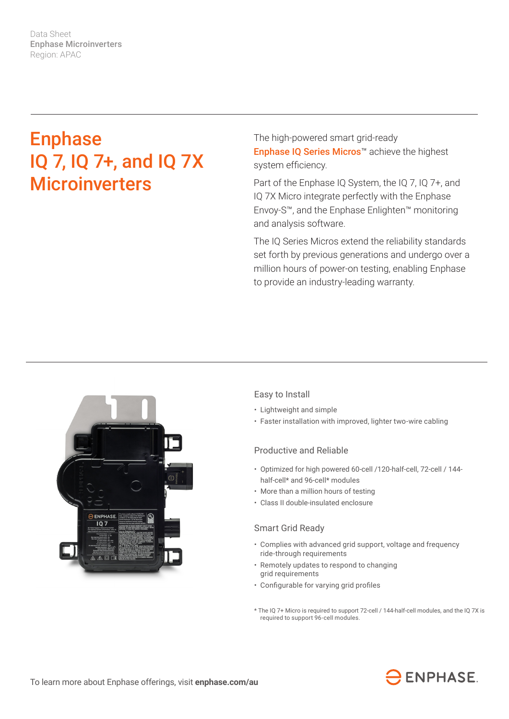Data Sheet Enphase Microinverters Region: APAC

# Enphase IQ 7, IQ 7+, and IQ 7X **Microinverters**

The high-powered smart grid-ready Enphase IQ Series Micros™ achieve the highest system efficiency.

Part of the Enphase IQ System, the IQ 7, IQ 7+, and IQ 7X Micro integrate perfectly with the Enphase Envoy-S™, and the Enphase Enlighten™ monitoring and analysis software.

The IQ Series Micros extend the reliability standards set forth by previous generations and undergo over a million hours of power-on testing, enabling Enphase to provide an industry-leading warranty.



# Easy to Install

- Lightweight and simple
- Faster installation with improved, lighter two-wire cabling

# Productive and Reliable

- Optimized for high powered 60-cell /120-half-cell, 72-cell / 144 half-cell\* and 96-cell\* modules
- More than a million hours of testing
- Class II double-insulated enclosure

#### Smart Grid Ready

- Complies with advanced grid support, voltage and frequency ride-through requirements
- Remotely updates to respond to changing grid requirements
- Configurable for varying grid profiles
- \* The IQ 7+ Micro is required to support 72-cell / 144-half-cell modules, and the IQ 7X is required to support 96-cell modules.